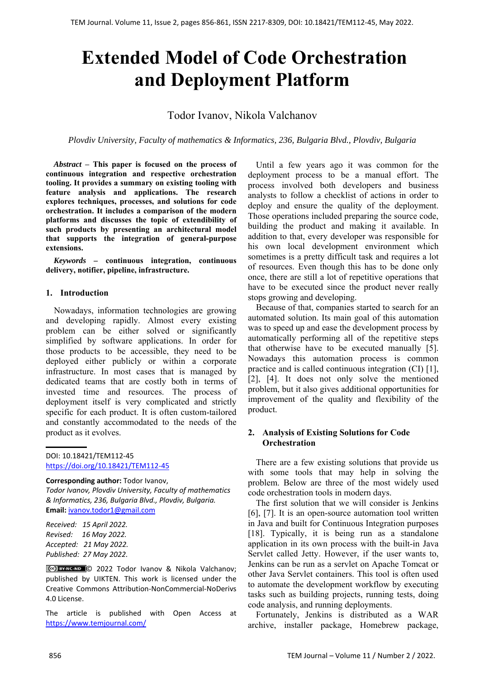# **Extended Model of Code Orchestration and Deployment Platform**

## Todor Ivanov, Nikola Valchanov

*Plovdiv University, Faculty of mathematics & Informatics, 236, Bulgaria Blvd., Plovdiv, Bulgaria* 

*Abstract* **– This paper is focused on the process of continuous integration and respective orchestration tooling. It provides a summary on existing tooling with feature analysis and applications. The research explores techniques, processes, and solutions for code orchestration. It includes a comparison of the modern platforms and discusses the topic of extendibility of such products by presenting an architectural model that supports the integration of general-purpose extensions.** 

*Keywords –* **continuous integration, continuous delivery, notifier, pipeline, infrastructure.** 

#### **1. Introduction**

Nowadays, information technologies are growing and developing rapidly. Almost every existing problem can be either solved or significantly simplified by software applications. In order for those products to be accessible, they need to be deployed either publicly or within a corporate infrastructure. In most cases that is managed by dedicated teams that are costly both in terms of invested time and resources. The process of deployment itself is very complicated and strictly specific for each product. It is often custom-tailored and constantly accommodated to the needs of the product as it evolves.

DOI: 10.18421/TEM112-45 [https://doi.org/10.18421/TEM112](https://doi.org/10.18421/TEM112-45)-45

**Corresponding author:** Todor Ivanov,

*Todor Ivanov, Plovdiv University, Faculty of mathematics & Informatics, 236, Bulgaria Blvd., Plovdiv, Bulgaria.*  **Email:** ivanov.todor1@gmail.com

*Received: 15 April 2022. Revised: 16 May 2022. Accepted: 21 May 2022. Published: 27 May 2022.* 

© 2022 Todor Ivanov & Nikola Valchanov; published by UIKTEN. This work is licensed under the Creative Commons Attribution‐NonCommercial‐NoDerivs 4.0 License.

The article is published with Open Access at https://www.temjournal.com/

Until a few years ago it was common for the deployment process to be a manual effort. The process involved both developers and business analysts to follow a checklist of actions in order to deploy and ensure the quality of the deployment. Those operations included preparing the source code, building the product and making it available. In addition to that, every developer was responsible for his own local development environment which sometimes is a pretty difficult task and requires a lot of resources. Even though this has to be done only once, there are still a lot of repetitive operations that have to be executed since the product never really stops growing and developing.

Because of that, companies started to search for an automated solution. Its main goal of this automation was to speed up and ease the development process by automatically performing all of the repetitive steps that otherwise have to be executed manually [5]. Nowadays this automation process is common practice and is called continuous integration (CI) [1], [2], [4]. It does not only solve the mentioned problem, but it also gives additional opportunities for improvement of the quality and flexibility of the product.

## **2. Analysis of Existing Solutions for Code Orchestration**

There are a few existing solutions that provide us with some tools that may help in solving the problem. Below are three of the most widely used code orchestration tools in modern days.

The first solution that we will consider is Jenkins [6], [7]. It is an open-source automation tool written in Java and built for Continuous Integration purposes [18]. Typically, it is being run as a standalone application in its own process with the built-in Java Servlet called Jetty. However, if the user wants to, Jenkins can be run as a servlet on Apache Tomcat or other Java Servlet containers. This tool is often used to automate the development workflow by executing tasks such as building projects, running tests, doing code analysis, and running deployments.

Fortunately, Jenkins is distributed as a WAR archive, installer package, Homebrew package,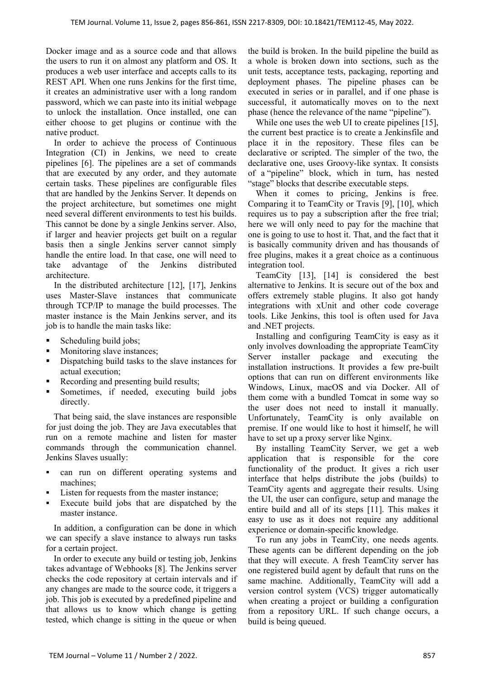Docker image and as a source code and that allows the users to run it on almost any platform and OS. It produces a web user interface and accepts calls to its REST API. When one runs Jenkins for the first time, it creates an administrative user with a long random password, which we can paste into its initial webpage to unlock the installation. Once installed, one can either choose to get plugins or continue with the native product.

In order to achieve the process of Continuous Integration (CI) in Jenkins, we need to create pipelines [6]. The pipelines are a set of commands that are executed by any order, and they automate certain tasks. These pipelines are configurable files that are handled by the Jenkins Server. It depends on the project architecture, but sometimes one might need several different environments to test his builds. This cannot be done by a single Jenkins server. Also, if larger and heavier projects get built on a regular basis then a single Jenkins server cannot simply handle the entire load. In that case, one will need to take advantage of the Jenkins distributed architecture.

In the distributed architecture [12], [17], Jenkins uses Master-Slave instances that communicate through TCP/IP to manage the build processes. The master instance is the Main Jenkins server, and its job is to handle the main tasks like:

- $\blacksquare$  Scheduling build jobs;
- Monitoring slave instances;
- Dispatching build tasks to the slave instances for actual execution;
- Recording and presenting build results;
- Sometimes, if needed, executing build jobs directly.

That being said, the slave instances are responsible for just doing the job. They are Java executables that run on a remote machine and listen for master commands through the communication channel. Jenkins Slaves usually:

- can run on different operating systems and machines;
- Listen for requests from the master instance;
- Execute build jobs that are dispatched by the master instance.

In addition, a configuration can be done in which we can specify a slave instance to always run tasks for a certain project.

In order to execute any build or testing job, Jenkins takes advantage of Webhooks [8]. The Jenkins server checks the code repository at certain intervals and if any changes are made to the source code, it triggers a job. This job is executed by a predefined pipeline and that allows us to know which change is getting tested, which change is sitting in the queue or when

the build is broken. In the build pipeline the build as a whole is broken down into sections, such as the unit tests, acceptance tests, packaging, reporting and deployment phases. The pipeline phases can be executed in series or in parallel, and if one phase is successful, it automatically moves on to the next phase (hence the relevance of the name "pipeline").

While one uses the web UI to create pipelines [15], the current best practice is to create a Jenkinsfile and place it in the repository. These files can be declarative or scripted. The simpler of the two, the declarative one, uses Groovy-like syntax. It consists of a "pipeline" block, which in turn, has nested "stage" blocks that describe executable steps.

When it comes to pricing, Jenkins is free. Comparing it to TeamCity or Travis [9], [10], which requires us to pay a subscription after the free trial; here we will only need to pay for the machine that one is going to use to host it. That, and the fact that it is basically community driven and has thousands of free plugins, makes it a great choice as a continuous integration tool.

TeamCity [13], [14] is considered the best alternative to Jenkins. It is secure out of the box and offers extremely stable plugins. It also got handy integrations with xUnit and other code coverage tools. Like Jenkins, this tool is often used for Java and .NET projects.

Installing and configuring TeamCity is easy as it only involves downloading the appropriate TeamCity Server installer package and executing the installation instructions. It provides a few pre-built options that can run on different environments like Windows, Linux, macOS and via Docker. All of them come with a bundled Tomcat in some way so the user does not need to install it manually. Unfortunately, TeamCity is only available on premise. If one would like to host it himself, he will have to set up a proxy server like Nginx.

By installing TeamCity Server, we get a web application that is responsible for the core functionality of the product. It gives a rich user interface that helps distribute the jobs (builds) to TeamCity agents and aggregate their results. Using the UI, the user can configure, setup and manage the entire build and all of its steps [11]. This makes it easy to use as it does not require any additional experience or domain-specific knowledge.

To run any jobs in TeamCity, one needs agents. These agents can be different depending on the job that they will execute. A fresh TeamCity server has one registered build agent by default that runs on the same machine. Additionally, TeamCity will add a version control system (VCS) trigger automatically when creating a project or building a configuration from a repository URL. If such change occurs, a build is being queued.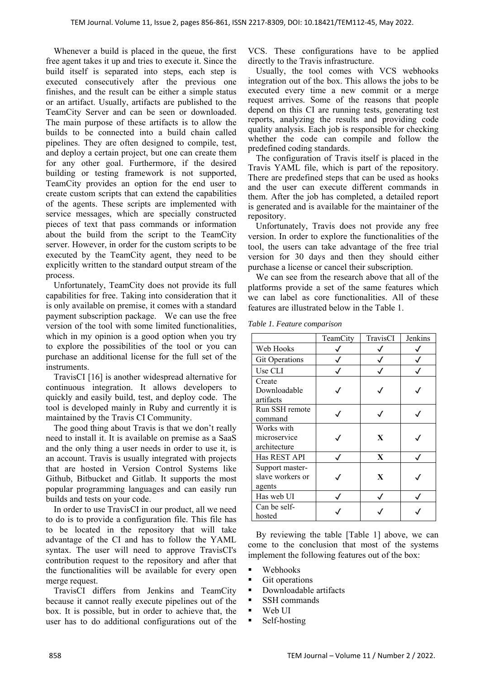Whenever a build is placed in the queue, the first free agent takes it up and tries to execute it. Since the build itself is separated into steps, each step is executed consecutively after the previous one finishes, and the result can be either a simple status or an artifact. Usually, artifacts are published to the TeamCity Server and can be seen or downloaded. The main purpose of these artifacts is to allow the builds to be connected into a build chain called pipelines. They are often designed to compile, test, and deploy a certain project, but one can create them for any other goal. Furthermore, if the desired building or testing framework is not supported, TeamCity provides an option for the end user to create custom scripts that can extend the capabilities of the agents. These scripts are implemented with service messages, which are specially constructed pieces of text that pass commands or information about the build from the script to the TeamCity server. However, in order for the custom scripts to be executed by the TeamCity agent, they need to be explicitly written to the standard output stream of the process.

Unfortunately, TeamCity does not provide its full capabilities for free. Taking into consideration that it is only available on premise, it comes with a standard payment subscription package. We can use the free version of the tool with some limited functionalities, which in my opinion is a good option when you try to explore the possibilities of the tool or you can purchase an additional license for the full set of the instruments.

TravisCI [16] is another widespread alternative for continuous integration. It allows developers to quickly and easily build, test, and deploy code. The tool is developed mainly in Ruby and currently it is maintained by the Travis CI Community.

The good thing about Travis is that we don't really need to install it. It is available on premise as a SaaS and the only thing a user needs in order to use it, is an account. Travis is usually integrated with projects that are hosted in Version Control Systems like Github, Bitbucket and Gitlab. It supports the most popular programming languages and can easily run builds and tests on your code.

In order to use TravisCI in our product, all we need to do is to provide a configuration file. This file has to be located in the repository that will take advantage of the CI and has to follow the YAML syntax. The user will need to approve TravisCI's contribution request to the repository and after that the functionalities will be available for every open merge request.

TravisCI differs from Jenkins and TeamCity because it cannot really execute pipelines out of the box. It is possible, but in order to achieve that, the user has to do additional configurations out of the VCS. These configurations have to be applied directly to the Travis infrastructure.

Usually, the tool comes with VCS webhooks integration out of the box. This allows the jobs to be executed every time a new commit or a merge request arrives. Some of the reasons that people depend on this CI are running tests, generating test reports, analyzing the results and providing code quality analysis. Each job is responsible for checking whether the code can compile and follow the predefined coding standards.

The configuration of Travis itself is placed in the Travis YAML file, which is part of the repository. There are predefined steps that can be used as hooks and the user can execute different commands in them. After the job has completed, a detailed report is generated and is available for the maintainer of the repository.

Unfortunately, Travis does not provide any free version. In order to explore the functionalities of the tool, the users can take advantage of the free trial version for 30 days and then they should either purchase a license or cancel their subscription.

We can see from the research above that all of the platforms provide a set of the same features which we can label as core functionalities. All of these features are illustrated below in the Table 1.

*Table 1. Feature comparison* 

|                                               | TeamCity | TravisCI | Jenkins |
|-----------------------------------------------|----------|----------|---------|
| Web Hooks                                     |          |          |         |
| <b>Git Operations</b>                         |          |          |         |
| Use CLI                                       |          |          |         |
| Create<br>Downloadable<br>artifacts           |          |          |         |
| Run SSH remote<br>command                     |          |          |         |
| Works with<br>microservice<br>architecture    |          | X        |         |
| Has REST API                                  |          | X        |         |
| Support master-<br>slave workers or<br>agents |          | X        |         |
| Has web UI                                    |          |          |         |
| Can be self-<br>hosted                        |          |          |         |

By reviewing the table [Table 1] above, we can come to the conclusion that most of the systems implement the following features out of the box:

- Webhooks
- Git operations
- Downloadable artifacts
- **SSH** commands
- Web UI
- Self-hosting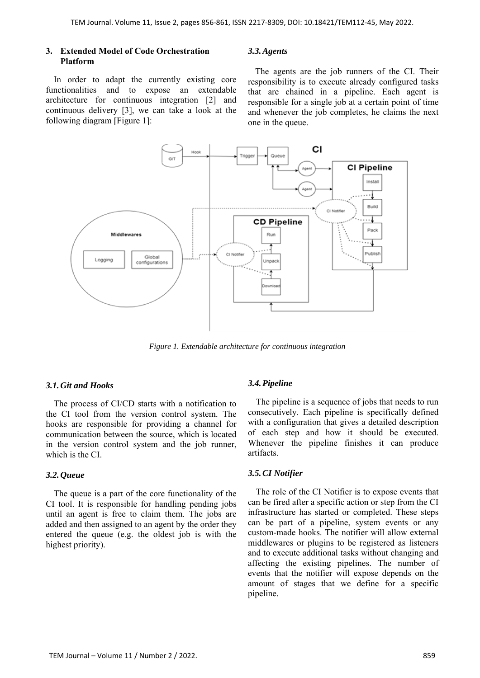## **3. Extended Model of Code Orchestration Platform**

In order to adapt the currently existing core functionalities and to expose an extendable architecture for continuous integration [2] and continuous delivery [3], we can take a look at the following diagram [Figure 1]:

#### *3.3.Agents*

The agents are the job runners of the CI. Their responsibility is to execute already configured tasks that are chained in a pipeline. Each agent is responsible for a single job at a certain point of time and whenever the job completes, he claims the next one in the queue.



*Figure 1. Extendable architecture for continuous integration* 

## *3.1.Git and Hooks*

The process of CI/CD starts with a notification to the CI tool from the version control system. The hooks are responsible for providing a channel for communication between the source, which is located in the version control system and the job runner, which is the CI.

#### *3.2.Queue*

The queue is a part of the core functionality of the CI tool. It is responsible for handling pending jobs until an agent is free to claim them. The jobs are added and then assigned to an agent by the order they entered the queue (e.g. the oldest job is with the highest priority).

#### *3.4.Pipeline*

The pipeline is a sequence of jobs that needs to run consecutively. Each pipeline is specifically defined with a configuration that gives a detailed description of each step and how it should be executed. Whenever the pipeline finishes it can produce artifacts.

#### *3.5.CI Notifier*

The role of the CI Notifier is to expose events that can be fired after a specific action or step from the CI infrastructure has started or completed. These steps can be part of a pipeline, system events or any custom-made hooks. The notifier will allow external middlewares or plugins to be registered as listeners and to execute additional tasks without changing and affecting the existing pipelines. The number of events that the notifier will expose depends on the amount of stages that we define for a specific pipeline.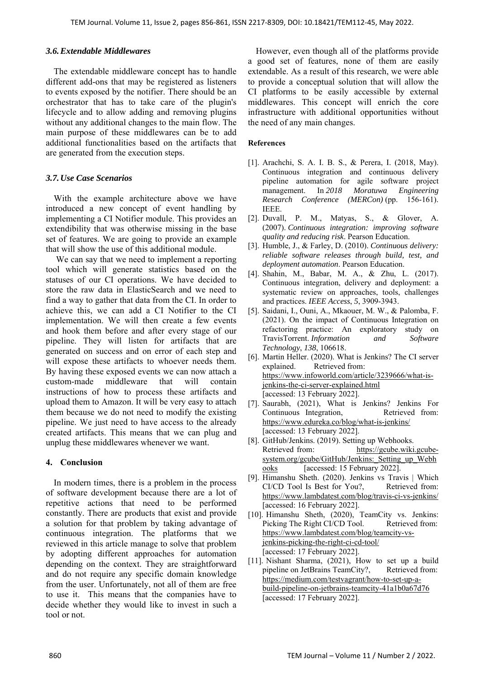#### *3.6.Extendable Middlewares*

The extendable middleware concept has to handle different add-ons that may be registered as listeners to events exposed by the notifier. There should be an orchestrator that has to take care of the plugin's lifecycle and to allow adding and removing plugins without any additional changes to the main flow. The main purpose of these middlewares can be to add additional functionalities based on the artifacts that are generated from the execution steps.

## *3.7.Use Case Scenarios*

With the example architecture above we have introduced a new concept of event handling by implementing a CI Notifier module. This provides an extendibility that was otherwise missing in the base set of features. We are going to provide an example that will show the use of this additional module.

 We can say that we need to implement a reporting tool which will generate statistics based on the statuses of our CI operations. We have decided to store the raw data in ElasticSearch and we need to find a way to gather that data from the CI. In order to achieve this, we can add a CI Notifier to the CI implementation. We will then create a few events and hook them before and after every stage of our pipeline. They will listen for artifacts that are generated on success and on error of each step and will expose these artifacts to whoever needs them. By having these exposed events we can now attach a custom-made middleware that will contain instructions of how to process these artifacts and upload them to Amazon. It will be very easy to attach them because we do not need to modify the existing pipeline. We just need to have access to the already created artifacts. This means that we can plug and unplug these middlewares whenever we want.

## **4. Conclusion**

In modern times, there is a problem in the process of software development because there are a lot of repetitive actions that need to be performed constantly. There are products that exist and provide a solution for that problem by taking advantage of continuous integration. The platforms that we reviewed in this article manage to solve that problem by adopting different approaches for automation depending on the context. They are straightforward and do not require any specific domain knowledge from the user. Unfortunately, not all of them are free to use it. This means that the companies have to decide whether they would like to invest in such a tool or not.

However, even though all of the platforms provide a good set of features, none of them are easily extendable. As a result of this research, we were able to provide a conceptual solution that will allow the CI platforms to be easily accessible by external middlewares. This concept will enrich the core infrastructure with additional opportunities without the need of any main changes.

#### **References**

- [1]. Arachchi, S. A. I. B. S., & Perera, I. (2018, May). Continuous integration and continuous delivery pipeline automation for agile software project management. In *2018 Moratuwa Engineering Research Conference (MERCon)* (pp. 156-161). IEEE.
- [2]. Duvall, P. M., Matyas, S., & Glover, A. (2007). *Continuous integration: improving software quality and reducing risk*. Pearson Education.
- [3]. Humble, J., & Farley, D. (2010). *Continuous delivery: reliable software releases through build, test, and deployment automation*. Pearson Education.
- [4]. Shahin, M., Babar, M. A., & Zhu, L. (2017). Continuous integration, delivery and deployment: a systematic review on approaches, tools, challenges and practices. *IEEE Access*, *5*, 3909-3943.
- [5]. Saidani, I., Ouni, A., Mkaouer, M. W., & Palomba, F. (2021). On the impact of Continuous Integration on refactoring practice: An exploratory study on TravisTorrent. *Information and Software Technology*, *138*, 106618.
- [6]. Martin Heller. (2020). What is Jenkins? The CI server explained. Retrieved from: https://www.infoworld.com/article/3239666/what-isjenkins-the-ci-server-explained.html [accessed: 13 February 2022].
- [7]. Saurabh, (2021), What is Jenkins? Jenkins For Continuous Integration, Retrieved from: https://www.edureka.co/blog/what-is-jenkins/ [accessed: 13 February 2022].
- [8]. GitHub/Jenkins. (2019). Setting up Webhooks. Retrieved from: https://gcube.wiki.gcubesystem.org/gcube/GitHub/Jenkins: Setting up Webh ooks [accessed: 15 February 2022].
- [9]. Himanshu Sheth. (2020). Jenkins vs Travis | Which CI/CD Tool Is Best for You?. Retrieved from: https://www.lambdatest.com/blog/travis-ci-vs-jenkins/ [accessed: 16 February 2022].
- [10]. Himanshu Sheth, (2020), TeamCity vs. Jenkins: Picking The Right CI/CD Tool. Retrieved from: https://www.lambdatest.com/blog/teamcity-vsjenkins-picking-the-right-ci-cd-tool/ [accessed: 17 February 2022].
- [11]. Nishant Sharma, (2021), How to set up a build pipeline on JetBrains TeamCity?, Retrieved from: https://medium.com/testvagrant/how-to-set-up-abuild-pipeline-on-jetbrains-teamcity-41a1b0a67d76 [accessed: 17 February 2022].